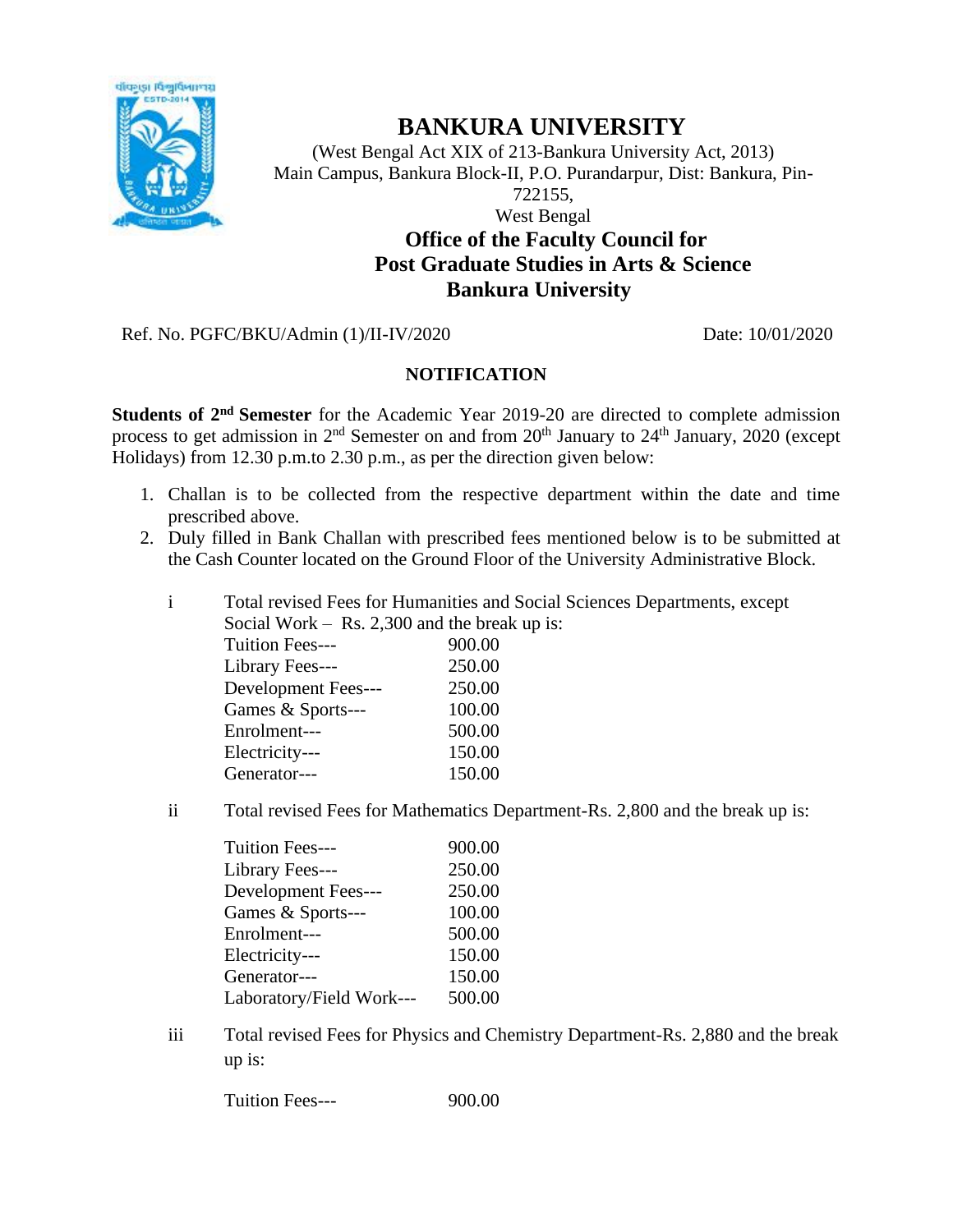

## **BANKURA UNIVERSITY**

(West Bengal Act XIX of 213-Bankura University Act, 2013) Main Campus, Bankura Block-II, P.O. Purandarpur, Dist: Bankura, Pin-722155,

West Bengal

## **Office of the Faculty Council for Post Graduate Studies in Arts & Science Bankura University**

Ref. No. PGFC/BKU/Admin (1)/II-IV/2020 Date: 10/01/2020

## **NOTIFICATION**

**Students of 2nd Semester** for the Academic Year 2019-20 are directed to complete admission process to get admission in 2<sup>nd</sup> Semester on and from 20<sup>th</sup> January to 24<sup>th</sup> January, 2020 (except Holidays) from 12.30 p.m.to 2.30 p.m., as per the direction given below:

- 1. Challan is to be collected from the respective department within the date and time prescribed above.
- 2. Duly filled in Bank Challan with prescribed fees mentioned below is to be submitted at the Cash Counter located on the Ground Floor of the University Administrative Block.
	- i Total revised Fees for Humanities and Social Sciences Departments, except Social Work – Rs. 2,300 and the break up is:

| <b>Tuition Fees---</b> | 900.00 |
|------------------------|--------|
| Library Fees---        | 250.00 |
| Development Fees---    | 250.00 |
| Games & Sports---      | 100.00 |
| Enrolment---           | 500.00 |
| Electricity---         | 150.00 |
| Generator---           | 150.00 |
|                        |        |

ii Total revised Fees for Mathematics Department-Rs. 2,800 and the break up is:

| <b>Tuition Fees---</b>   | 900.00 |
|--------------------------|--------|
| Library Fees---          | 250.00 |
| Development Fees---      | 250.00 |
| Games & Sports---        | 100.00 |
| Enrolment---             | 500.00 |
| Electricity---           | 150.00 |
| Generator---             | 150.00 |
| Laboratory/Field Work--- | 500.00 |

iii Total revised Fees for Physics and Chemistry Department-Rs. 2,880 and the break up is:

Tuition Fees--- 900.00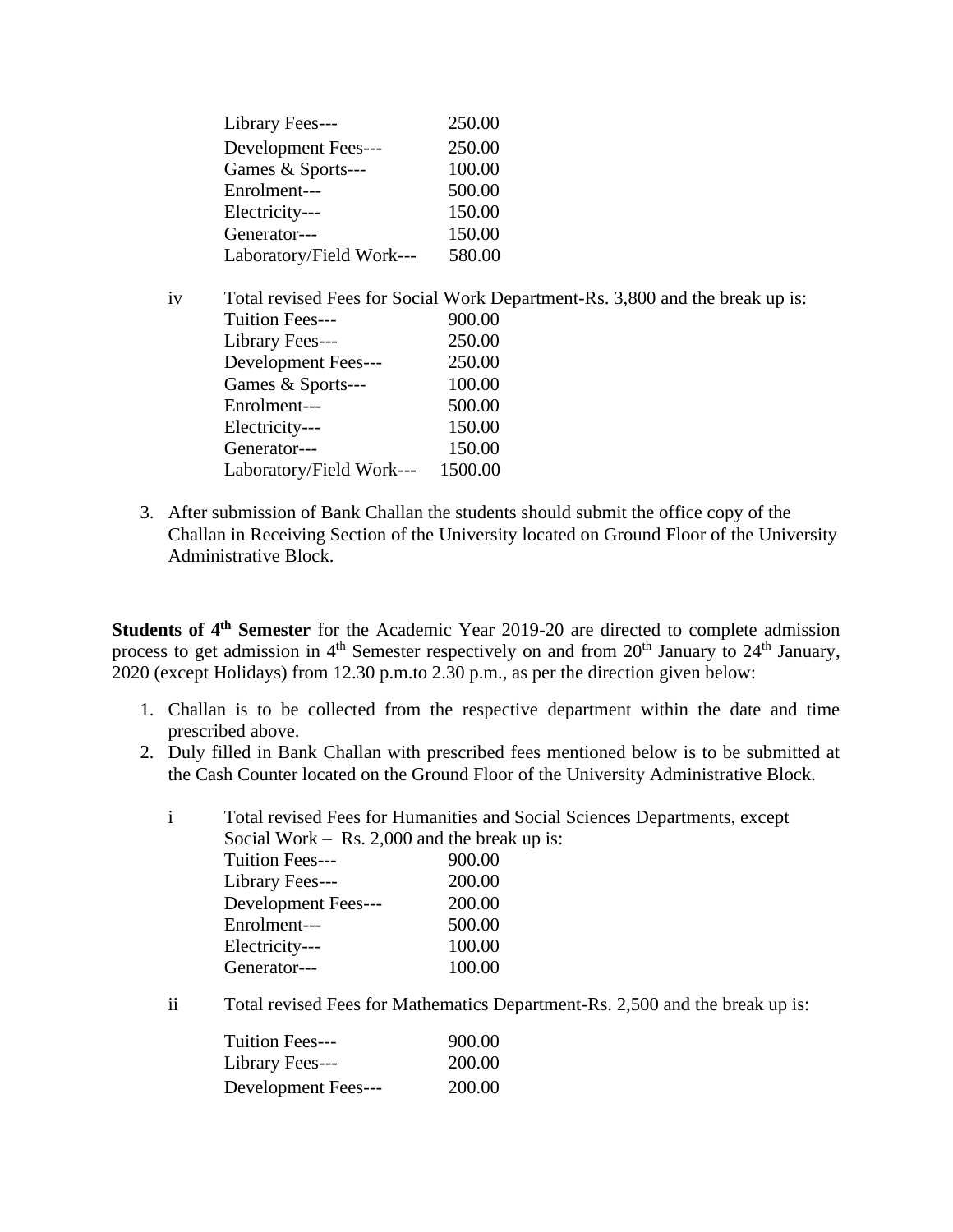| Library Fees---          | 250.00 |
|--------------------------|--------|
| Development Fees---      | 250.00 |
| Games & Sports---        | 100.00 |
| Enrolment---             | 500.00 |
| Electricity---           | 150.00 |
| Generator---             | 150.00 |
| Laboratory/Field Work--- | 580.00 |

- iv Total revised Fees for Social Work Department-Rs. 3,800 and the break up is: Tuition Fees--- 900.00 Library Fees--- 250.00 Development Fees--- 250.00 Games & Sports--- 100.00 Enrolment--- 500.00 Electricity--- 150.00 Generator--- 150.00 Laboratory/Field Work--- 1500.00
- 3. After submission of Bank Challan the students should submit the office copy of the Challan in Receiving Section of the University located on Ground Floor of the University Administrative Block.

**Students of 4th Semester** for the Academic Year 2019-20 are directed to complete admission process to get admission in  $4<sup>th</sup>$  Semester respectively on and from  $20<sup>th</sup>$  January to  $24<sup>th</sup>$  January, 2020 (except Holidays) from 12.30 p.m.to 2.30 p.m., as per the direction given below:

- 1. Challan is to be collected from the respective department within the date and time prescribed above.
- 2. Duly filled in Bank Challan with prescribed fees mentioned below is to be submitted at the Cash Counter located on the Ground Floor of the University Administrative Block.

i Total revised Fees for Humanities and Social Sciences Departments, except Social Work – Rs. 2,000 and the break up is:

| $500$ and $1100$ and $21000$ and the $0100$ |        |
|---------------------------------------------|--------|
| <b>Tuition Fees---</b>                      | 900.00 |
| Library Fees---                             | 200.00 |
| Development Fees---                         | 200.00 |
| Enrolment---                                | 500.00 |
| Electricity---                              | 100.00 |
| Generator---                                | 100.00 |
|                                             |        |

ii Total revised Fees for Mathematics Department-Rs. 2,500 and the break up is:

| <b>Tuition Fees---</b> | 900.00 |
|------------------------|--------|
| Library Fees---        | 200.00 |
| Development Fees---    | 200.00 |